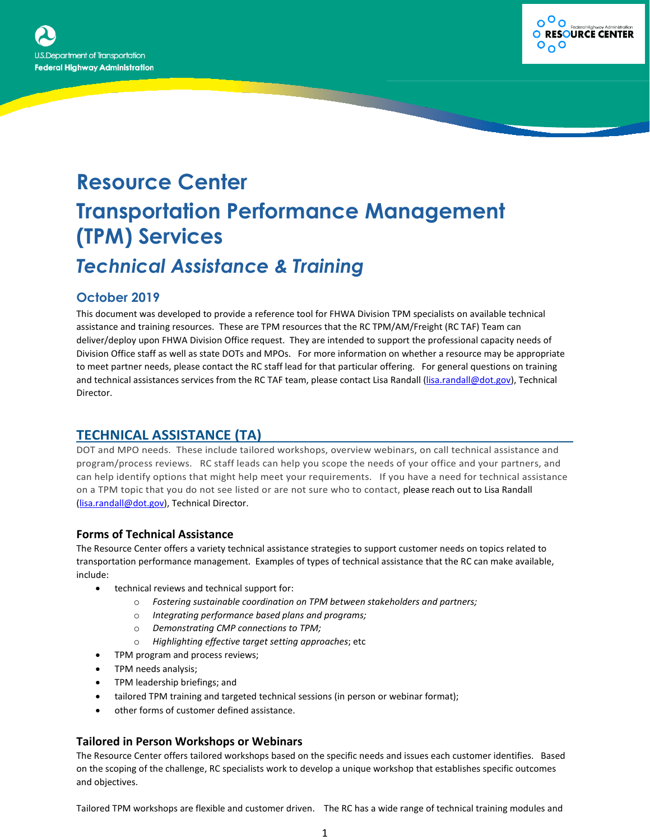



# **Resource Center Transportation Performance Management (TPM) Services** *Technical Assistance & Training*

## **October 2019**

This document was developed to provide a reference tool for FHWA Division TPM specialists on available technical assistance and training resources. These are TPM resources that the RC TPM/AM/Freight (RC TAF) Team can deliver/deploy upon FHWA Division Office request. They are intended to support the professional capacity needs of Division Office staff as well as state DOTs and MPOs. For more information on whether a resource may be appropriate to meet partner needs, please contact the RC staff lead for that particular offering. For general questions on training and technical assistances services from the RC TAF team, please contact Lisa Randall [\(lisa.randall@dot.gov\)](mailto:lisa.randall@dot.gov), Technical Director.

## **TECHNICAL ASSISTANCE (TA)**

DOT and MPO needs. These include tailored workshops, overview webinars, on call technical assistance and program/process reviews. RC staff leads can help you scope the needs of your office and your partners, and can help identify options that might help meet your requirements. If you have a need for technical assistance on a TPM topic that you do not see listed or are not sure who to contact, please reach out to Lisa Randall [\(lisa.randall@dot.gov\)](mailto:lisa.randall@dot.gov), Technical Director.

#### **Forms of Technical Assistance**

The Resource Center offers a variety technical assistance strategies to support customer needs on topics related to transportation performance management. Examples of types of technical assistance that the RC can make available, include:

- technical reviews and technical support for:
	- o *Fostering sustainable coordination on TPM between stakeholders and partners;*
	- o *Integrating performance based plans and programs;*
	- o *Demonstrating CMP connections to TPM;*
	- o *Highlighting effective target setting approaches*; etc
- TPM program and process reviews;
- TPM needs analysis;
- TPM leadership briefings; and
- tailored TPM training and targeted technical sessions (in person or webinar format);
- other forms of customer defined assistance.

#### **Tailored in Person Workshops or Webinars**

The Resource Center offers tailored workshops based on the specific needs and issues each customer identifies. Based on the scoping of the challenge, RC specialists work to develop a unique workshop that establishes specific outcomes and objectives.

Tailored TPM workshops are flexible and customer driven. The RC has a wide range of technical training modules and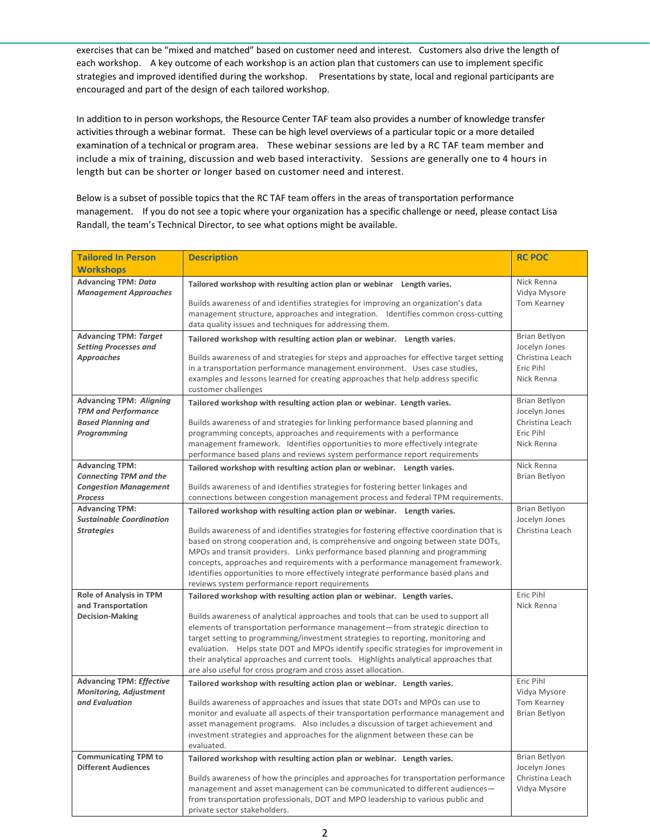exercises that can be "mixed and matched" based on customer need and interest. Customers also drive the length of each workshop. A key outcome of each workshop is an action plan that customers can use to implement specific strategies and improved identified during the workshop. Presentations by state, local and regional participants are encouraged and part of the design of each tailored workshop.

In addition to in person workshops, the Resource Center TAF team also provides a number of knowledge transfer activities through a webinar format. These can be high level overviews of a particular topic or a more detailed examination of a technical or program area. These webinar sessions are led by a RC TAF team member and include a mix of training, discussion and web based interactivity. Sessions are generally one to 4 hours in length but can be shorter or longer based on customer need and interest.

Below is a subset of possible topics that the RC TAF team offers in the areas of transportation performance management. If you do not see a topic where your organization has a specific challenge or need, please contact Lisa Randall, the team's Technical Director, to see what options might be available.

| <b>Tailored In Person</b>                                | <b>Description</b>                                                                                                                                                   | <b>RC POC</b>                  |
|----------------------------------------------------------|----------------------------------------------------------------------------------------------------------------------------------------------------------------------|--------------------------------|
| <b>Workshops</b>                                         |                                                                                                                                                                      |                                |
| <b>Advancing TPM: Data</b>                               |                                                                                                                                                                      | Nick Renna                     |
| <b>Management Approaches</b>                             | Tailored workshop with resulting action plan or webinar Length varies.                                                                                               | Vidya Mysore                   |
|                                                          | Builds awareness of and identifies strategies for improving an organization's data                                                                                   | Tom Kearney                    |
|                                                          | management structure, approaches and integration. Identifies common cross-cutting                                                                                    |                                |
|                                                          | data quality issues and techniques for addressing them.                                                                                                              |                                |
| <b>Advancing TPM: Target</b>                             | Tailored workshop with resulting action plan or webinar. Length varies.                                                                                              | Brian Betlyon                  |
| <b>Setting Processes and</b>                             |                                                                                                                                                                      | Jocelyn Jones                  |
| <b>Approaches</b>                                        | Builds awareness of and strategies for steps and approaches for effective target setting                                                                             | Christina Leach                |
|                                                          | in a transportation performance management environment. Uses case studies,                                                                                           | Eric Pihl                      |
|                                                          | examples and lessons learned for creating approaches that help address specific                                                                                      | Nick Renna                     |
| <b>Advancing TPM: Aligning</b>                           | customer challenges                                                                                                                                                  | Brian Betlyon                  |
| <b>TPM and Performance</b>                               | Tailored workshop with resulting action plan or webinar. Length varies.                                                                                              | Jocelyn Jones                  |
| <b>Based Planning and</b>                                | Builds awareness of and strategies for linking performance based planning and                                                                                        | Christina Leach                |
| Programming                                              | programming concepts, approaches and requirements with a performance                                                                                                 | Eric Pihl                      |
|                                                          | management framework. Identifies opportunities to more effectively integrate                                                                                         | Nick Renna                     |
|                                                          | performance based plans and reviews system performance report requirements                                                                                           |                                |
| <b>Advancing TPM:</b>                                    | Tailored workshop with resulting action plan or webinar. Length varies.                                                                                              | Nick Renna                     |
| <b>Connecting TPM and the</b>                            |                                                                                                                                                                      | Brian Betlyon                  |
| <b>Congestion Management</b>                             | Builds awareness of and identifies strategies for fostering better linkages and                                                                                      |                                |
| <b>Process</b>                                           | connections between congestion management process and federal TPM requirements.                                                                                      |                                |
| <b>Advancing TPM:</b><br><b>Sustainable Coordination</b> | Tailored workshop with resulting action plan or webinar. Length varies.                                                                                              | Brian Betlyon<br>Jocelyn Jones |
| <b>Strategies</b>                                        | Builds awareness of and identifies strategies for fostering effective coordination that is                                                                           | Christina Leach                |
|                                                          | based on strong cooperation and, is comprehensive and ongoing between state DOTs,                                                                                    |                                |
|                                                          | MPOs and transit providers. Links performance based planning and programming                                                                                         |                                |
|                                                          | concepts, approaches and requirements with a performance management framework.                                                                                       |                                |
|                                                          | Identifies opportunities to more effectively integrate performance based plans and                                                                                   |                                |
|                                                          | reviews system performance report requirements                                                                                                                       |                                |
| <b>Role of Analysis in TPM</b>                           | Tailored workshop with resulting action plan or webinar. Length varies.                                                                                              | Eric Pihl                      |
| and Transportation                                       |                                                                                                                                                                      | Nick Renna                     |
| <b>Decision-Making</b>                                   | Builds awareness of analytical approaches and tools that can be used to support all<br>elements of transportation performance management-from strategic direction to |                                |
|                                                          | target setting to programming/investment strategies to reporting, monitoring and                                                                                     |                                |
|                                                          | evaluation. Helps state DOT and MPOs identify specific strategies for improvement in                                                                                 |                                |
|                                                          | their analytical approaches and current tools. Highlights analytical approaches that                                                                                 |                                |
|                                                          | are also useful for cross program and cross asset allocation.                                                                                                        |                                |
| <b>Advancing TPM: Effective</b>                          | Tailored workshop with resulting action plan or webinar. Length varies.                                                                                              | Eric Pihl                      |
| <b>Monitoring, Adjustment</b>                            |                                                                                                                                                                      | Vidya Mysore                   |
| and Evaluation                                           | Builds awareness of approaches and issues that state DOTs and MPOs can use to                                                                                        | Tom Kearney                    |
|                                                          | monitor and evaluate all aspects of their transportation performance management and                                                                                  | Brian Betlyon                  |
|                                                          | asset management programs. Also includes a discussion of target achievement and<br>investment strategies and approaches for the alignment between these can be       |                                |
|                                                          | evaluated.                                                                                                                                                           |                                |
| <b>Communicating TPM to</b>                              | Tailored workshop with resulting action plan or webinar. Length varies.                                                                                              | Brian Betlyon                  |
| <b>Different Audiences</b>                               |                                                                                                                                                                      | Jocelyn Jones                  |
|                                                          | Builds awareness of how the principles and approaches for transportation performance                                                                                 | Christina Leach                |
|                                                          | management and asset management can be communicated to different audiences—                                                                                          | Vidya Mysore                   |
|                                                          | from transportation professionals, DOT and MPO leadership to various public and                                                                                      |                                |
|                                                          | private sector stakeholders.                                                                                                                                         |                                |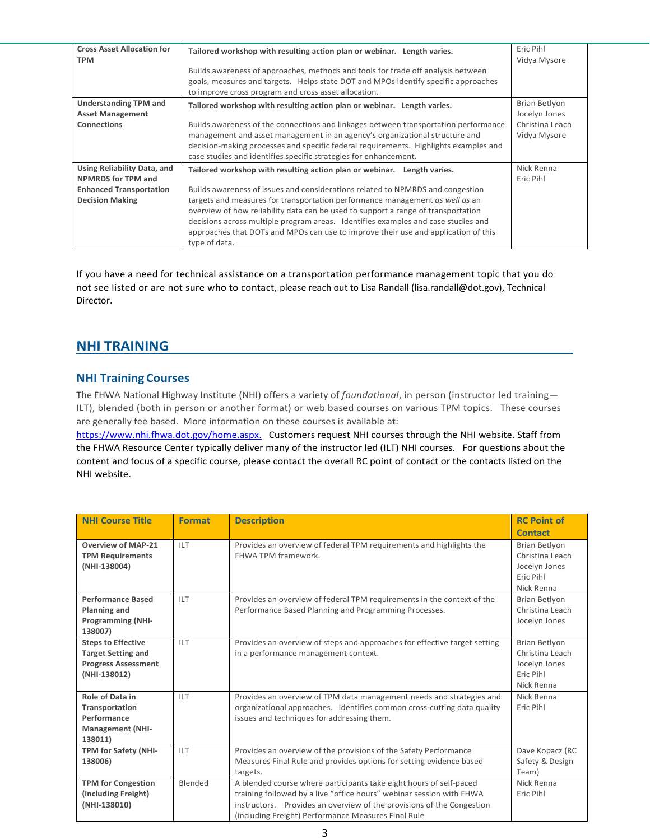| <b>Cross Asset Allocation for</b><br><b>TPM</b>          | Tailored workshop with resulting action plan or webinar. Length varies.                                                                                                                                                                                                                                                                                                                                                                         | Eric Pihl<br>Vidya Mysore       |
|----------------------------------------------------------|-------------------------------------------------------------------------------------------------------------------------------------------------------------------------------------------------------------------------------------------------------------------------------------------------------------------------------------------------------------------------------------------------------------------------------------------------|---------------------------------|
|                                                          | Builds awareness of approaches, methods and tools for trade off analysis between<br>goals, measures and targets. Helps state DOT and MPOs identify specific approaches<br>to improve cross program and cross asset allocation.                                                                                                                                                                                                                  |                                 |
| <b>Understanding TPM and</b><br><b>Asset Management</b>  | Tailored workshop with resulting action plan or webinar. Length varies.                                                                                                                                                                                                                                                                                                                                                                         | Brian Betlyon<br>Jocelyn Jones  |
| <b>Connections</b>                                       | Builds awareness of the connections and linkages between transportation performance<br>management and asset management in an agency's organizational structure and<br>decision-making processes and specific federal requirements. Highlights examples and<br>case studies and identifies specific strategies for enhancement.                                                                                                                  | Christina Leach<br>Vidya Mysore |
| Using Reliability Data, and<br><b>NPMRDS for TPM and</b> | Tailored workshop with resulting action plan or webinar. Length varies.                                                                                                                                                                                                                                                                                                                                                                         | Nick Renna<br>Eric Pihl         |
| <b>Enhanced Transportation</b><br><b>Decision Making</b> | Builds awareness of issues and considerations related to NPMRDS and congestion<br>targets and measures for transportation performance management as well as an<br>overview of how reliability data can be used to support a range of transportation<br>decisions across multiple program areas. Identifies examples and case studies and<br>approaches that DOTs and MPOs can use to improve their use and application of this<br>type of data. |                                 |

If you have a need for technical assistance on a transportation performance management topic that you do not see listed or are not sure who to contact, please reach out to Lisa Randall [\(lisa.randall@dot.gov\)](mailto:lisa.randall@dot.gov), Technical Director.

### **NHI TRAINING**

#### **NHI Training Courses**

The FHWA National Highway Institute (NHI) offers a variety of *foundational*, in person (instructor led training— ILT), blended (both in person or another format) or web based courses on various TPM topics. These courses are generally fee based. More information on these courses is available at:

[https://www.nhi.fhwa.dot.gov/home.aspx.](https://www.nhi.fhwa.dot.gov/home.aspx) Customers request NHI courses through the NHI website. Staff from the FHWA Resource Center typically deliver many of the instructor led (ILT) NHI courses. For questions about the content and focus of a specific course, please contact the overall RC point of contact or the contacts listed on the NHI website.

| <b>NHI Course Title</b>                                                                              | <b>Format</b> | <b>Description</b>                                                                                                                                                                                                                                                         | <b>RC Point of</b>                                                                  |
|------------------------------------------------------------------------------------------------------|---------------|----------------------------------------------------------------------------------------------------------------------------------------------------------------------------------------------------------------------------------------------------------------------------|-------------------------------------------------------------------------------------|
|                                                                                                      |               |                                                                                                                                                                                                                                                                            | <b>Contact</b>                                                                      |
| <b>Overview of MAP-21</b><br><b>TPM Requirements</b><br>(NHI-138004)                                 | <b>ILT</b>    | Provides an overview of federal TPM requirements and highlights the<br>FHWA TPM framework.                                                                                                                                                                                 | <b>Brian Betlyon</b><br>Christina Leach<br>Jocelyn Jones<br>Eric Pihl<br>Nick Renna |
| <b>Performance Based</b><br><b>Planning and</b><br><b>Programming (NHI-</b><br>138007)               | ILT           | Provides an overview of federal TPM requirements in the context of the<br>Performance Based Planning and Programming Processes.                                                                                                                                            | Brian Betlyon<br>Christina Leach<br>Jocelyn Jones                                   |
| <b>Steps to Effective</b><br><b>Target Setting and</b><br><b>Progress Assessment</b><br>(NHI-138012) | <b>ILT</b>    | Provides an overview of steps and approaches for effective target setting<br>in a performance management context.                                                                                                                                                          | Brian Betlyon<br>Christina Leach<br>Jocelyn Jones<br>Eric Pihl<br>Nick Renna        |
| Role of Data in<br>Transportation<br>Performance<br><b>Management (NHI-</b><br>138011)               | <b>ILT</b>    | Provides an overview of TPM data management needs and strategies and<br>organizational approaches. Identifies common cross-cutting data quality<br>issues and techniques for addressing them.                                                                              | Nick Renna<br>Eric Pihl                                                             |
| TPM for Safety (NHI-<br>138006)                                                                      | <b>ILT</b>    | Provides an overview of the provisions of the Safety Performance<br>Measures Final Rule and provides options for setting evidence based<br>targets.                                                                                                                        | Dave Kopacz (RC<br>Safety & Design<br>Team)                                         |
| <b>TPM for Congestion</b><br>(including Freight)<br>(NHI-138010)                                     | Blended       | A blended course where participants take eight hours of self-paced<br>training followed by a live "office hours" webinar session with FHWA<br>instructors. Provides an overview of the provisions of the Congestion<br>(including Freight) Performance Measures Final Rule | Nick Renna<br>Eric Pihl                                                             |